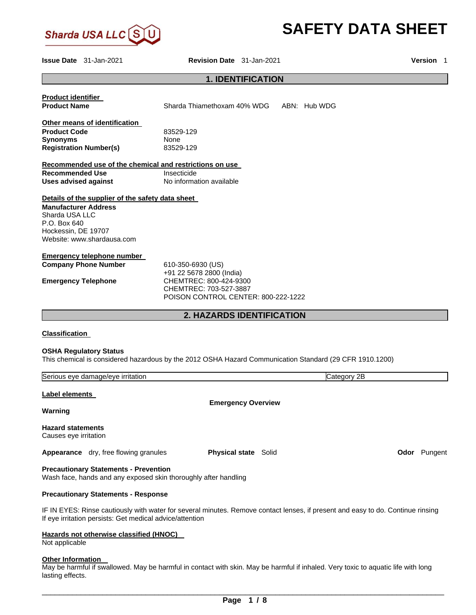

# **SAFETY DATA SHEET**

Г

lasting effects.

**Issue Date** 31-Jan-2021 **Revision Date** 31-Jan-2021 **Version** 1

# **1. IDENTIFICATION**

|                                                                                                                                                                        | PERII IVAII                                                                                                                       |  |
|------------------------------------------------------------------------------------------------------------------------------------------------------------------------|-----------------------------------------------------------------------------------------------------------------------------------|--|
| <b>Product identifier</b><br><b>Product Name</b>                                                                                                                       | Sharda Thiamethoxam 40% WDG<br>ABN: Hub WDG                                                                                       |  |
|                                                                                                                                                                        |                                                                                                                                   |  |
| Other means of identification                                                                                                                                          |                                                                                                                                   |  |
| <b>Product Code</b><br><b>Synonyms</b>                                                                                                                                 | 83529-129<br>None                                                                                                                 |  |
| <b>Registration Number(s)</b>                                                                                                                                          | 83529-129                                                                                                                         |  |
| Recommended use of the chemical and restrictions on use                                                                                                                |                                                                                                                                   |  |
| <b>Recommended Use</b>                                                                                                                                                 | Insecticide                                                                                                                       |  |
| <b>Uses advised against</b>                                                                                                                                            | No information available                                                                                                          |  |
| Details of the supplier of the safety data sheet<br><b>Manufacturer Address</b><br>Sharda USA LLC<br>P.O. Box 640<br>Hockessin, DE 19707<br>Website: www.shardausa.com |                                                                                                                                   |  |
| <b>Emergency telephone number</b>                                                                                                                                      |                                                                                                                                   |  |
| <b>Company Phone Number</b>                                                                                                                                            | 610-350-6930 (US)<br>+91 22 5678 2800 (India)                                                                                     |  |
| <b>Emergency Telephone</b>                                                                                                                                             | CHEMTREC: 800-424-9300                                                                                                            |  |
|                                                                                                                                                                        | CHEMTREC: 703-527-3887                                                                                                            |  |
|                                                                                                                                                                        | POISON CONTROL CENTER: 800-222-1222                                                                                               |  |
|                                                                                                                                                                        | <b>2. HAZARDS IDENTIFICATION</b>                                                                                                  |  |
| <b>Classification</b>                                                                                                                                                  |                                                                                                                                   |  |
| <b>OSHA Regulatory Status</b>                                                                                                                                          | This chemical is considered hazardous by the 2012 OSHA Hazard Communication Standard (29 CFR 1910.1200)                           |  |
| Serious eye damage/eye irritation                                                                                                                                      | Category 2B                                                                                                                       |  |
| Label elements                                                                                                                                                         |                                                                                                                                   |  |
|                                                                                                                                                                        | <b>Emergency Overview</b>                                                                                                         |  |
| Warning                                                                                                                                                                |                                                                                                                                   |  |
| <b>Hazard statements</b><br>Causes eye irritation                                                                                                                      |                                                                                                                                   |  |
| Appearance dry, free flowing granules                                                                                                                                  | <b>Physical state Solid</b><br>Odor Pungent                                                                                       |  |
| <b>Precautionary Statements - Prevention</b><br>Wash face, hands and any exposed skin thoroughly after handling                                                        |                                                                                                                                   |  |
| <b>Precautionary Statements - Response</b>                                                                                                                             |                                                                                                                                   |  |
| If eye irritation persists: Get medical advice/attention                                                                                                               | IF IN EYES: Rinse cautiously with water for several minutes. Remove contact lenses, if present and easy to do. Continue rinsing   |  |
| Hazards not otherwise classified (HNOC)<br>Not applicable                                                                                                              |                                                                                                                                   |  |
| <b>Other Information</b>                                                                                                                                               | May be harmful if swallowed. May be harmful in contact with skin. May be harmful if inhaled. Very toxic to aquatic life with long |  |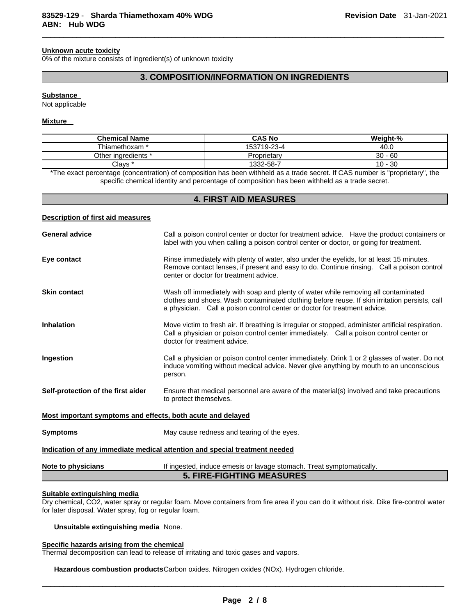#### **Unknown acute toxicity**

0% of the mixture consists of ingredient(s) of unknown toxicity

## **3. COMPOSITION/INFORMATION ON INGREDIENTS**

 $\Box$ 

#### **Substance**

Not applicable

#### **Mixture**

| <b>Chemical Name</b> | <b>CAS No</b> | Weight-%      |
|----------------------|---------------|---------------|
| " Fhiamethoxam       | 153719-23-4   | 40.0          |
| Other ingredients *  | Proprietary   | $30 - 60$     |
| Clays *              | 1332-58-7     | -30<br>$10 -$ |

\*The exact percentage (concentration) of composition has been withheld as a trade secret. If CAS number is "proprietary", the specific chemical identity and percentage of composition has been withheld as a trade secret.

## **4. FIRST AID MEASURES**

## **Description of first aid measures**

| <b>General advice</b>                                                      | Call a poison control center or doctor for treatment advice. Have the product containers or<br>label with you when calling a poison control center or doctor, or going for treatment.                                                                            |  |
|----------------------------------------------------------------------------|------------------------------------------------------------------------------------------------------------------------------------------------------------------------------------------------------------------------------------------------------------------|--|
| Eye contact                                                                | Rinse immediately with plenty of water, also under the eyelids, for at least 15 minutes.<br>Remove contact lenses, if present and easy to do. Continue rinsing. Call a poison control<br>center or doctor for treatment advice.                                  |  |
| <b>Skin contact</b>                                                        | Wash off immediately with soap and plenty of water while removing all contaminated<br>clothes and shoes. Wash contaminated clothing before reuse. If skin irritation persists, call<br>a physician. Call a poison control center or doctor for treatment advice. |  |
| <b>Inhalation</b>                                                          | Move victim to fresh air. If breathing is irregular or stopped, administer artificial respiration.<br>Call a physician or poison control center immediately. Call a poison control center or<br>doctor for treatment advice.                                     |  |
| Ingestion                                                                  | Call a physician or poison control center immediately. Drink 1 or 2 glasses of water. Do not<br>induce vomiting without medical advice. Never give anything by mouth to an unconscious<br>person.                                                                |  |
| Self-protection of the first aider                                         | Ensure that medical personnel are aware of the material(s) involved and take precautions<br>to protect themselves.                                                                                                                                               |  |
| Most important symptoms and effects, both acute and delayed                |                                                                                                                                                                                                                                                                  |  |
| <b>Symptoms</b>                                                            | May cause redness and tearing of the eyes.                                                                                                                                                                                                                       |  |
| Indication of any immediate medical attention and special treatment needed |                                                                                                                                                                                                                                                                  |  |
| Note to physicians                                                         | If ingested, induce emesis or lavage stomach. Treat symptomatically.<br><b>5. FIRE-FIGHTING MEASURES</b>                                                                                                                                                         |  |

# **Suitable extinguishing media**

Dry chemical, CO2, water spray or regular foam. Move containers from fire area if you can do it without risk. Dike fire-control water for later disposal. Water spray, fog or regular foam.

#### **Unsuitable extinguishing media** None.

#### **Specific hazards arising from the chemical**

Thermal decomposition can lead to release of irritating and toxic gases and vapors.

**Hazardous combustion products** Carbon oxides. Nitrogen oxides (NOx). Hydrogen chloride.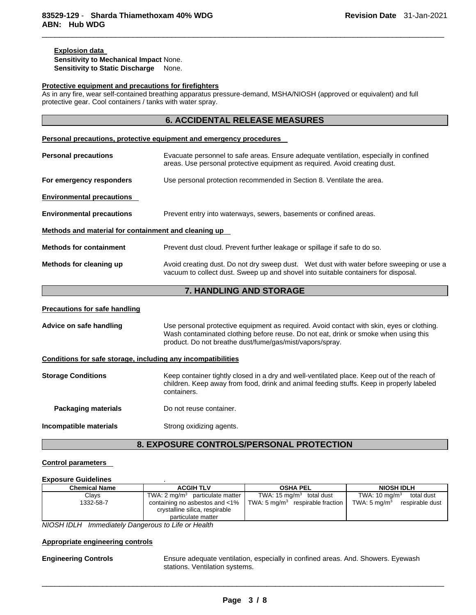## **Explosion data Sensitivity to Mechanical Impact** None. **Sensitivity to Static Discharge** None.

#### **Protective equipment and precautions for firefighters**

As in any fire, wear self-contained breathing apparatus pressure-demand, MSHA/NIOSH (approved or equivalent) and full protective gear. Cool containers / tanks with water spray.

 $\Box$ 

|                                                      | Personal precautions, protective equipment and emergency procedures                                                                                                            |  |
|------------------------------------------------------|--------------------------------------------------------------------------------------------------------------------------------------------------------------------------------|--|
| <b>Personal precautions</b>                          | Evacuate personnel to safe areas. Ensure adequate ventilation, especially in confined<br>areas. Use personal protective equipment as required. Avoid creating dust.            |  |
| For emergency responders                             | Use personal protection recommended in Section 8. Ventilate the area.                                                                                                          |  |
| <b>Environmental precautions</b>                     |                                                                                                                                                                                |  |
| <b>Environmental precautions</b>                     | Prevent entry into waterways, sewers, basements or confined areas.                                                                                                             |  |
| Methods and material for containment and cleaning up |                                                                                                                                                                                |  |
| <b>Methods for containment</b>                       | Prevent dust cloud. Prevent further leakage or spillage if safe to do so.                                                                                                      |  |
| Methods for cleaning up                              | Avoid creating dust. Do not dry sweep dust. Wet dust with water before sweeping or use a<br>vacuum to collect dust. Sweep up and shovel into suitable containers for disposal. |  |

## **7. HANDLING AND STORAGE**

#### **Precautions for safe handling**

| Advice on safe handling                                      | Use personal protective equipment as required. Avoid contact with skin, eyes or clothing.<br>Wash contaminated clothing before reuse. Do not eat, drink or smoke when using this<br>product. Do not breathe dust/fume/gas/mist/vapors/spray. |  |
|--------------------------------------------------------------|----------------------------------------------------------------------------------------------------------------------------------------------------------------------------------------------------------------------------------------------|--|
| Conditions for safe storage, including any incompatibilities |                                                                                                                                                                                                                                              |  |
| <b>Storage Conditions</b>                                    | Keep container tightly closed in a dry and well-ventilated place. Keep out of the reach of<br>children. Keep away from food, drink and animal feeding stuffs. Keep in properly labeled<br>containers.                                        |  |
| Packaging materials                                          | Do not reuse container.                                                                                                                                                                                                                      |  |
| Incompatible materials                                       | Strong oxidizing agents.                                                                                                                                                                                                                     |  |

# **8. EXPOSURE CONTROLS/PERSONAL PROTECTION**

#### **Control parameters**

#### **Exposure Guidelines** .

| <b>Chemical Name</b>                                            | <b>ACGIH TLV</b>                                                 | <b>OSHA PEL</b>                              | <b>NIOSH IDLH</b>                          |
|-----------------------------------------------------------------|------------------------------------------------------------------|----------------------------------------------|--------------------------------------------|
| Clavs                                                           | TWA: 2 mg/m <sup>3</sup> particulate matter                      | TWA: $15 \text{ mg/m}^3$ total dust          | TWA: $10 \text{ mg/m}^3$<br>total dust     |
| 1332-58-7                                                       | containing no asbestos and <1%<br>crystalline silica, respirable | TWA: 5 mg/m <sup>3</sup> respirable fraction | TWA: $5 \text{ mg/m}^3$<br>respirable dust |
|                                                                 | particulate matter                                               |                                              |                                            |
| $\text{MIO}\text{OIII}\text{I}\text{I}\text{I}\text{I}\text{I}$ |                                                                  |                                              |                                            |

*NIOSH IDLH Immediately Dangerous to Life or Health* 

#### **Appropriate engineering controls**

**Engineering Controls** Ensure adequate ventilation, especially in confined areas. And. Showers. Eyewash stations. Ventilation systems.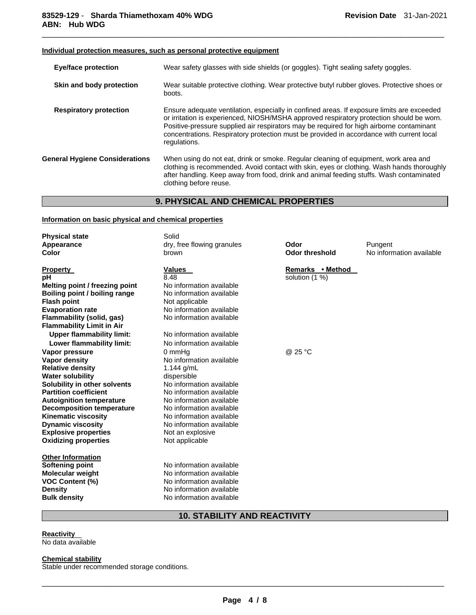## **Individual protection measures, such as personal protective equipment**

| Eye/face protection                   | Wear safety glasses with side shields (or goggles). Tight sealing safety goggles.                                                                                                                                                                                                                                                                                                              |  |
|---------------------------------------|------------------------------------------------------------------------------------------------------------------------------------------------------------------------------------------------------------------------------------------------------------------------------------------------------------------------------------------------------------------------------------------------|--|
| Skin and body protection              | Wear suitable protective clothing. Wear protective butyl rubber gloves. Protective shoes or<br>boots.                                                                                                                                                                                                                                                                                          |  |
| <b>Respiratory protection</b>         | Ensure adequate ventilation, especially in confined areas. If exposure limits are exceeded<br>or irritation is experienced, NIOSH/MSHA approved respiratory protection should be worn.<br>Positive-pressure supplied air respirators may be required for high airborne contaminant<br>concentrations. Respiratory protection must be provided in accordance with current local<br>regulations. |  |
| <b>General Hygiene Considerations</b> | When using do not eat, drink or smoke. Regular cleaning of equipment, work area and<br>clothing is recommended. Avoid contact with skin, eyes or clothing. Wash hands thoroughly<br>after handling. Keep away from food, drink and animal feeding stuffs. Wash contaminated<br>clothing before reuse.                                                                                          |  |

 $\Box$ 

# **9. PHYSICAL AND CHEMICAL PROPERTIES**

## **Information on basic physical and chemical properties**

| <b>Physical state</b><br>Appearance<br>Color                                                                                                                                                                                                                                                                                                         | Solid<br>dry, free flowing granules<br>brown                                                                                                                                                                                                                                    | Odor<br><b>Odor threshold</b>      | Pungent<br>No information available |
|------------------------------------------------------------------------------------------------------------------------------------------------------------------------------------------------------------------------------------------------------------------------------------------------------------------------------------------------------|---------------------------------------------------------------------------------------------------------------------------------------------------------------------------------------------------------------------------------------------------------------------------------|------------------------------------|-------------------------------------|
| <b>Property</b><br>рH<br>Melting point / freezing point<br>Boiling point / boiling range<br><b>Flash point</b><br><b>Evaporation rate</b><br>Flammability (solid, gas)<br><b>Flammability Limit in Air</b>                                                                                                                                           | <b>Values</b><br>8.48<br>No information available<br>No information available<br>Not applicable<br>No information available<br>No information available                                                                                                                         | Remarks • Method<br>solution (1 %) |                                     |
| <b>Upper flammability limit:</b><br>Lower flammability limit:                                                                                                                                                                                                                                                                                        | No information available<br>No information available                                                                                                                                                                                                                            |                                    |                                     |
| Vapor pressure<br>Vapor density<br><b>Relative density</b><br><b>Water solubility</b><br>Solubility in other solvents<br><b>Partition coefficient</b><br><b>Autoignition temperature</b><br><b>Decomposition temperature</b><br><b>Kinematic viscosity</b><br><b>Dynamic viscosity</b><br><b>Explosive properties</b><br><b>Oxidizing properties</b> | 0 mmHq<br>No information available<br>1.144 $g/mL$<br>dispersible<br>No information available<br>No information available<br>No information available<br>No information available<br>No information available<br>No information available<br>Not an explosive<br>Not applicable | @ 25 °C                            |                                     |
| <b>Other Information</b><br>Softening point<br><b>Molecular weight</b><br><b>VOC Content (%)</b><br><b>Density</b><br><b>Bulk density</b>                                                                                                                                                                                                            | No information available<br>No information available<br>No information available<br>No information available<br>No information available                                                                                                                                        |                                    |                                     |

# **10. STABILITY AND REACTIVITY**

**Reactivity**  No data available

**Chemical stability** Stable under recommended storage conditions.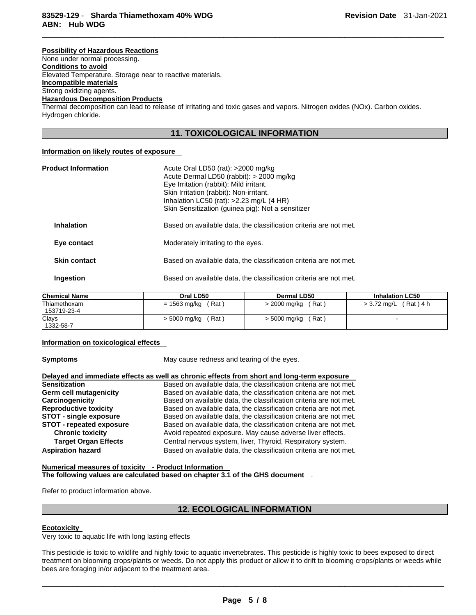#### **Possibility of Hazardous Reactions**

None under normal processing.

**Conditions to avoid**

Elevated Temperature. Storage near to reactive materials.

**Incompatible materials** Strong oxidizing agents.

## **Hazardous Decomposition Products**

Thermal decomposition can lead to release of irritating and toxic gases and vapors. Nitrogen oxides (NOx). Carbon oxides. Hydrogen chloride.

## **11. TOXICOLOGICAL INFORMATION**

 $\Box$ 

## **Information on likely routes of exposure**

| <b>Product Information</b> | Acute Oral LD50 (rat): $>2000$ mg/kg<br>Acute Dermal LD50 (rabbit): > 2000 mg/kg<br>Eye Irritation (rabbit): Mild irritant.<br>Skin Irritation (rabbit): Non-irritant.<br>Inhalation LC50 (rat): $>2.23$ mg/L (4 HR)<br>Skin Sensitization (guinea pig): Not a sensitizer |  |
|----------------------------|---------------------------------------------------------------------------------------------------------------------------------------------------------------------------------------------------------------------------------------------------------------------------|--|
| <b>Inhalation</b>          | Based on available data, the classification criteria are not met.                                                                                                                                                                                                         |  |
| Eye contact                | Moderately irritating to the eyes.                                                                                                                                                                                                                                        |  |
| <b>Skin contact</b>        | Based on available data, the classification criteria are not met.                                                                                                                                                                                                         |  |
| Ingestion                  | Based on available data, the classification criteria are not met.                                                                                                                                                                                                         |  |

| Chemical Name | Oral LD50    | Dermal LD50  | <b>Inhalation LC50</b> |
|---------------|--------------|--------------|------------------------|
| Thiamethoxam  | (Rat)        | (Rat)        | (Rat ) 4 h             |
| 153719-23-4   | = 1563 mg/kg | > 2000 mg/kg | > 3.72 mg/L            |
| Clays         | $'$ Rat)     | (Rat)        |                        |
| 1332-58-7     | > 5000 mg/kg | > 5000 mg/kg |                        |

#### **Information on toxicological effects**

**Symptoms May cause redness and tearing of the eyes.** 

|                                 | Delayed and immediate effects as well as chronic effects from short and long-term exposure |
|---------------------------------|--------------------------------------------------------------------------------------------|
| <b>Sensitization</b>            | Based on available data, the classification criteria are not met.                          |
| <b>Germ cell mutagenicity</b>   | Based on available data, the classification criteria are not met.                          |
| Carcinogenicity                 | Based on available data, the classification criteria are not met.                          |
| <b>Reproductive toxicity</b>    | Based on available data, the classification criteria are not met.                          |
| <b>STOT - single exposure</b>   | Based on available data, the classification criteria are not met.                          |
| <b>STOT - repeated exposure</b> | Based on available data, the classification criteria are not met.                          |
| <b>Chronic toxicity</b>         | Avoid repeated exposure. May cause adverse liver effects.                                  |
| <b>Target Organ Effects</b>     | Central nervous system, liver, Thyroid, Respiratory system.                                |
| <b>Aspiration hazard</b>        | Based on available data, the classification criteria are not met.                          |

**Numerical measures of toxicity - Product Information The following values are calculated based on chapter 3.1 of the GHS document** .

Refer to product information above.

# **12. ECOLOGICAL INFORMATION**

#### **Ecotoxicity**

Very toxic to aquatic life with long lasting effects

This pesticide is toxic to wildlife and highly toxic to aquatic invertebrates. This pesticide is highly toxic to bees exposed to direct treatment on blooming crops/plants or weeds. Do not apply this product or allow it to drift to blooming crops/plants or weeds while bees are foraging in/or adjacent to the treatment area.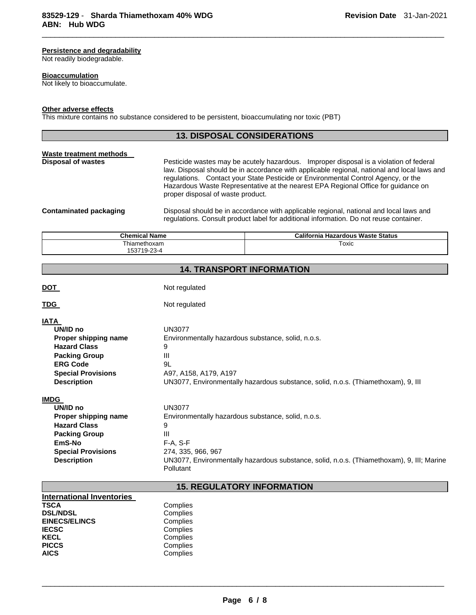## **Persistence and degradability**

Not readily biodegradable.

#### **Bioaccumulation**

Not likely to bioaccumulate.

## **Other adverse effects**

This mixture contains no substance considered to be persistent, bioaccumulating nor toxic (PBT)

## **13. DISPOSAL CONSIDERATIONS**

 $\Box$ 

| Waste treatment methods |                                                                                                                                                                                                                                                                                                                                                                                                      |
|-------------------------|------------------------------------------------------------------------------------------------------------------------------------------------------------------------------------------------------------------------------------------------------------------------------------------------------------------------------------------------------------------------------------------------------|
| Disposal of wastes      | Pesticide wastes may be acutely hazardous. Improper disposal is a violation of federal<br>law. Disposal should be in accordance with applicable regional, national and local laws and<br>regulations. Contact your State Pesticide or Environmental Control Agency, or the<br>Hazardous Waste Representative at the nearest EPA Regional Office for guidance on<br>proper disposal of waste product. |
| Contaminated packaging  | Disposal should be in accordance with applicable regional, national and local laws and<br>regulations. Consult product label for additional information. Do not reuse container.                                                                                                                                                                                                                     |

| <b>Chemical Name</b>            | California Hazardous Waste Status |
|---------------------------------|-----------------------------------|
| Thiamethoxam                    | Toxic                             |
| $\sim$<br>153719<br>.3-4<br>9-2 |                                   |

# **14. TRANSPORT INFORMATION**

| <u>DOT</u>                                                                                                                                                           | Not regulated                                                                                                                                                                                                                            |  |  |
|----------------------------------------------------------------------------------------------------------------------------------------------------------------------|------------------------------------------------------------------------------------------------------------------------------------------------------------------------------------------------------------------------------------------|--|--|
| <u>TDG</u>                                                                                                                                                           | Not regulated                                                                                                                                                                                                                            |  |  |
| <b>IATA</b><br>UN/ID no<br>Proper shipping name<br><b>Hazard Class</b><br><b>Packing Group</b><br><b>ERG Code</b><br><b>Special Provisions</b><br><b>Description</b> | <b>UN3077</b><br>Environmentally hazardous substance, solid, n.o.s.<br>9<br>Ш<br>9L<br>A97, A158, A179, A197<br>UN3077, Environmentally hazardous substance, solid, n.o.s. (Thiamethoxam), 9, III                                        |  |  |
| <b>IMDG</b><br>UN/ID no<br>Proper shipping name<br><b>Hazard Class</b><br><b>Packing Group</b><br>EmS-No<br><b>Special Provisions</b><br><b>Description</b>          | <b>UN3077</b><br>Environmentally hazardous substance, solid, n.o.s.<br>9<br>$\mathbf{III}$<br>$F-A, S-F$<br>274, 335, 966, 967<br>UN3077, Environmentally hazardous substance, solid, n.o.s. (Thiamethoxam), 9, III; Marine<br>Pollutant |  |  |
| <b>15. REGULATORY INFORMATION</b>                                                                                                                                    |                                                                                                                                                                                                                                          |  |  |

| <b>International Inventories</b> |          |
|----------------------------------|----------|
| <b>TSCA</b>                      | Complies |
| <b>DSL/NDSL</b>                  | Complies |
| <b>EINECS/ELINCS</b>             | Complies |
| <b>IECSC</b>                     | Complies |
| <b>KECL</b>                      | Complies |
| <b>PICCS</b>                     | Complies |
| <b>AICS</b>                      | Complies |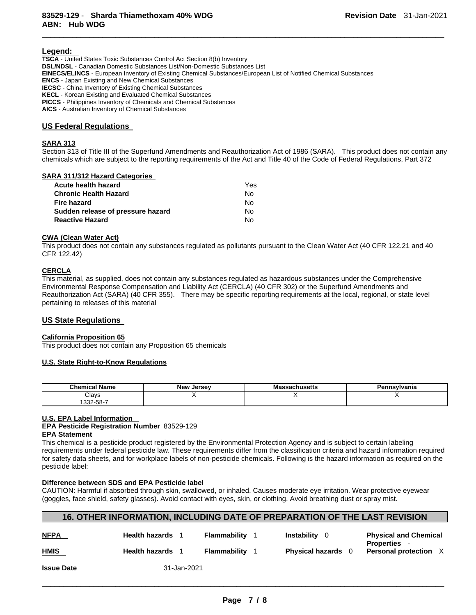#### **Legend:**

**TSCA** - United States Toxic Substances Control Act Section 8(b) Inventory **DSL/NDSL** - Canadian Domestic Substances List/Non-Domestic Substances List **EINECS/ELINCS** - European Inventory of Existing Chemical Substances/European List of Notified Chemical Substances **ENCS** - Japan Existing and New Chemical Substances **IECSC** - China Inventory of Existing Chemical Substances **KECL** - Korean Existing and Evaluated Chemical Substances **PICCS** - Philippines Inventory of Chemicals and Chemical Substances **AICS** - Australian Inventory of Chemical Substances

#### **US Federal Regulations**

#### **SARA 313**

Section 313 of Title III of the Superfund Amendments and Reauthorization Act of 1986 (SARA). This product does not contain any chemicals which are subject to the reporting requirements of the Act and Title 40 of the Code of Federal Regulations, Part 372

 $\Box$ 

#### **SARA 311/312 Hazard Categories**

| Acute health hazard               | <b>Yes</b> |
|-----------------------------------|------------|
| <b>Chronic Health Hazard</b>      | N٥         |
| Fire hazard                       | Nο         |
| Sudden release of pressure hazard | Nο         |
| <b>Reactive Hazard</b>            | N٥         |

## **CWA (Clean Water Act)**

This product does not contain any substances regulated as pollutants pursuant to the Clean Water Act (40 CFR 122.21 and 40 CFR 122.42)

#### **CERCLA**

This material, as supplied, does not contain any substances regulated as hazardous substances under the Comprehensive Environmental Response Compensation and Liability Act (CERCLA) (40 CFR 302) or the Superfund Amendments and Reauthorization Act (SARA) (40 CFR 355). There may be specific reporting requirements at the local, regional, or state level pertaining to releases of this material

#### **US State Regulations**

#### **California Proposition 65**

This product does not contain any Proposition 65 chemicals

#### **U.S. State Right-to-Know Regulations**

| Chemical<br>Name   | New Jersey | achusetts<br>ма | nnsylvania<br>Da. |
|--------------------|------------|-----------------|-------------------|
| Clays              |            |                 |                   |
| າາາ<br>، 30- ∠30 ا |            |                 |                   |

#### **U.S. EPA Label Information**

# **EPA Pesticide Registration Number** 83529-129

**EPA Statement**

This chemical is a pesticide product registered by the Environmental Protection Agency and is subject to certain labeling requirements under federal pesticide law. These requirements differ from the classification criteria and hazard information required for safety data sheets, and for workplace labels of non-pesticide chemicals. Following is the hazard information as required on the pesticide label:

## **Difference between SDS and EPA Pesticide label**

CAUTION: Harmful if absorbed through skin, swallowed, or inhaled. Causes moderate eye irritation. Wear protective eyewear (goggles, face shield, safety glasses). Avoid contact with eyes, skin, or clothing. Avoid breathing dust or spray mist.

# **16. OTHER INFORMATION, INCLUDING DATE OF PREPARATION OF THE LAST REVISION**

| <b>NFPA</b>       | <b>Health hazards</b> 1 | Flammability | <b>Instability</b> 0    | <b>Physical and Chemical</b><br>Properties |
|-------------------|-------------------------|--------------|-------------------------|--------------------------------------------|
| <b>HMIS</b>       | <b>Health hazards</b> 1 | Flammability | <b>Physical hazards</b> | <b>Personal protection</b> X               |
| <b>Issue Date</b> | 31-Jan-2021             |              |                         |                                            |